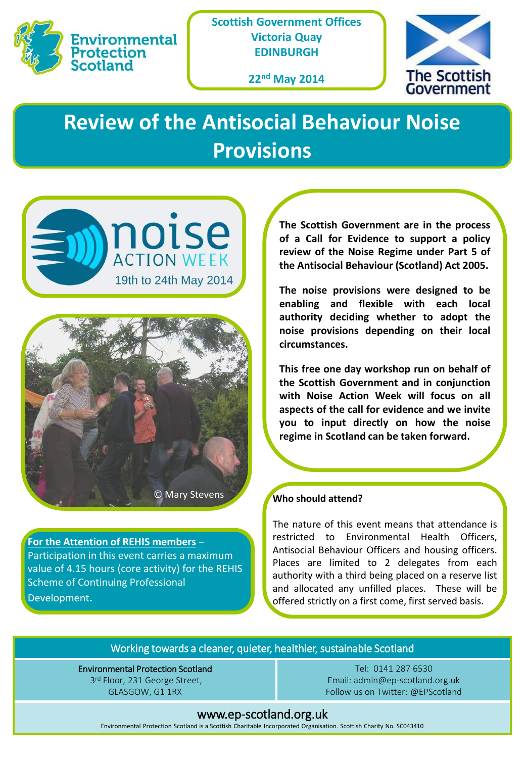

**Scottish Government Offices Victoria Quay EDINBURGH**

**22nd May 2014**



# **Review of the Antisocial Behaviour Noise Provisions**





**For the Attention of REHIS members** – Participation in this event carries a maximum value of 4.15 hours (core activity) for the REHIS Scheme of Continuing Professional Development.

**The Scottish Government are in the process of a Call for Evidence to support a policy review of the Noise Regime under Part 5 of the Antisocial Behaviour (Scotland) Act 2005.**

**The noise provisions were designed to be enabling and flexible with each local authority deciding whether to adopt the noise provisions depending on their local circumstances.**

**This free one day workshop run on behalf of the Scottish Government and in conjunction with Noise Action Week will focus on all aspects of the call for evidence and we invite you to input directly on how the noise regime in Scotland can be taken forward.**

### **Who should attend?**

The nature of this event means that attendance is restricted to Environmental Health Officers, Antisocial Behaviour Officers and housing officers. Places are limited to 2 delegates from each authority with a third being placed on a reserve list and allocated any unfilled places. These will be offered strictly on a first come, first served basis.

#### Working towards a cleaner, quieter, healthier, sustainable Scotland

Environmental Protection Scotland 3rd Floor, 231 George Street, GLASGOW, G1 1RX

Tel: 0141 287 6530 Email: admin@ep-scotland.org.uk Follow us on Twitter: @EPScotland

#### www.ep-scotland.org.uk

Environmental Protection Scotland is a Scottish Charitable Incorporated Organisation. Scottish Charity No. SC043410